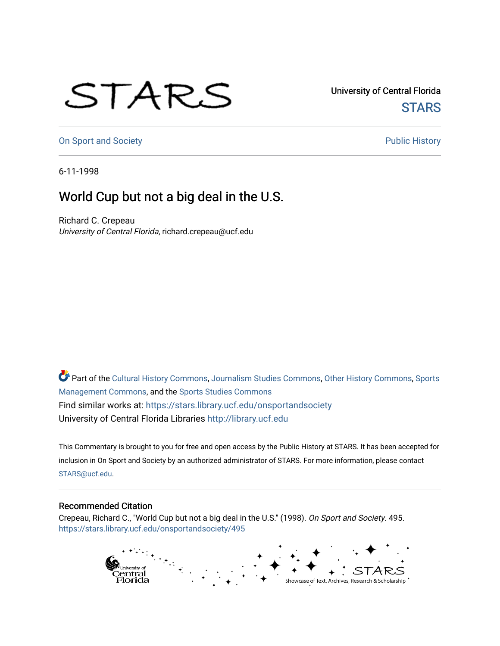## STARS

University of Central Florida **STARS** 

[On Sport and Society](https://stars.library.ucf.edu/onsportandsociety) **Public History** Public History

6-11-1998

## World Cup but not a big deal in the U.S.

Richard C. Crepeau University of Central Florida, richard.crepeau@ucf.edu

Part of the [Cultural History Commons](http://network.bepress.com/hgg/discipline/496?utm_source=stars.library.ucf.edu%2Fonsportandsociety%2F495&utm_medium=PDF&utm_campaign=PDFCoverPages), [Journalism Studies Commons,](http://network.bepress.com/hgg/discipline/333?utm_source=stars.library.ucf.edu%2Fonsportandsociety%2F495&utm_medium=PDF&utm_campaign=PDFCoverPages) [Other History Commons,](http://network.bepress.com/hgg/discipline/508?utm_source=stars.library.ucf.edu%2Fonsportandsociety%2F495&utm_medium=PDF&utm_campaign=PDFCoverPages) [Sports](http://network.bepress.com/hgg/discipline/1193?utm_source=stars.library.ucf.edu%2Fonsportandsociety%2F495&utm_medium=PDF&utm_campaign=PDFCoverPages) [Management Commons](http://network.bepress.com/hgg/discipline/1193?utm_source=stars.library.ucf.edu%2Fonsportandsociety%2F495&utm_medium=PDF&utm_campaign=PDFCoverPages), and the [Sports Studies Commons](http://network.bepress.com/hgg/discipline/1198?utm_source=stars.library.ucf.edu%2Fonsportandsociety%2F495&utm_medium=PDF&utm_campaign=PDFCoverPages) Find similar works at: <https://stars.library.ucf.edu/onsportandsociety> University of Central Florida Libraries [http://library.ucf.edu](http://library.ucf.edu/) 

This Commentary is brought to you for free and open access by the Public History at STARS. It has been accepted for inclusion in On Sport and Society by an authorized administrator of STARS. For more information, please contact [STARS@ucf.edu](mailto:STARS@ucf.edu).

## Recommended Citation

Crepeau, Richard C., "World Cup but not a big deal in the U.S." (1998). On Sport and Society. 495. [https://stars.library.ucf.edu/onsportandsociety/495](https://stars.library.ucf.edu/onsportandsociety/495?utm_source=stars.library.ucf.edu%2Fonsportandsociety%2F495&utm_medium=PDF&utm_campaign=PDFCoverPages)

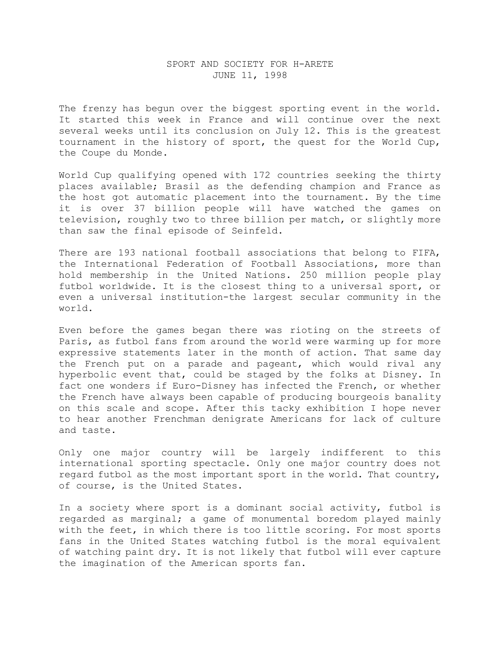## SPORT AND SOCIETY FOR H-ARETE JUNE 11, 1998

The frenzy has begun over the biggest sporting event in the world. It started this week in France and will continue over the next several weeks until its conclusion on July 12. This is the greatest tournament in the history of sport, the quest for the World Cup, the Coupe du Monde.

World Cup qualifying opened with 172 countries seeking the thirty places available; Brasil as the defending champion and France as the host got automatic placement into the tournament. By the time it is over 37 billion people will have watched the games on television, roughly two to three billion per match, or slightly more than saw the final episode of Seinfeld.

There are 193 national football associations that belong to FIFA, the International Federation of Football Associations, more than hold membership in the United Nations. 250 million people play futbol worldwide. It is the closest thing to a universal sport, or even a universal institution-the largest secular community in the world.

Even before the games began there was rioting on the streets of Paris, as futbol fans from around the world were warming up for more expressive statements later in the month of action. That same day the French put on a parade and pageant, which would rival any hyperbolic event that, could be staged by the folks at Disney. In fact one wonders if Euro-Disney has infected the French, or whether the French have always been capable of producing bourgeois banality on this scale and scope. After this tacky exhibition I hope never to hear another Frenchman denigrate Americans for lack of culture and taste.

Only one major country will be largely indifferent to this international sporting spectacle. Only one major country does not regard futbol as the most important sport in the world. That country, of course, is the United States.

In a society where sport is a dominant social activity, futbol is regarded as marginal; a game of monumental boredom played mainly with the feet, in which there is too little scoring. For most sports fans in the United States watching futbol is the moral equivalent of watching paint dry. It is not likely that futbol will ever capture the imagination of the American sports fan.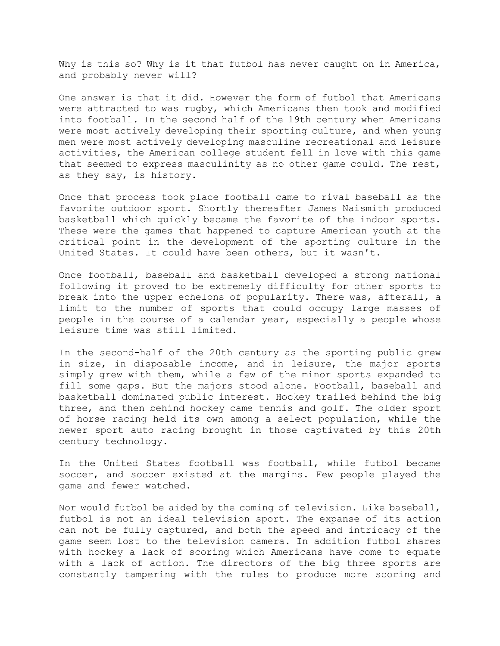Why is this so? Why is it that futbol has never caught on in America, and probably never will?

One answer is that it did. However the form of futbol that Americans were attracted to was rugby, which Americans then took and modified into football. In the second half of the 19th century when Americans were most actively developing their sporting culture, and when young men were most actively developing masculine recreational and leisure activities, the American college student fell in love with this game that seemed to express masculinity as no other game could. The rest, as they say, is history.

Once that process took place football came to rival baseball as the favorite outdoor sport. Shortly thereafter James Naismith produced basketball which quickly became the favorite of the indoor sports. These were the games that happened to capture American youth at the critical point in the development of the sporting culture in the United States. It could have been others, but it wasn't.

Once football, baseball and basketball developed a strong national following it proved to be extremely difficulty for other sports to break into the upper echelons of popularity. There was, afterall, a limit to the number of sports that could occupy large masses of people in the course of a calendar year, especially a people whose leisure time was still limited.

In the second-half of the 20th century as the sporting public grew in size, in disposable income, and in leisure, the major sports simply grew with them, while a few of the minor sports expanded to fill some gaps. But the majors stood alone. Football, baseball and basketball dominated public interest. Hockey trailed behind the big three, and then behind hockey came tennis and golf. The older sport of horse racing held its own among a select population, while the newer sport auto racing brought in those captivated by this 20th century technology.

In the United States football was football, while futbol became soccer, and soccer existed at the margins. Few people played the game and fewer watched.

Nor would futbol be aided by the coming of television. Like baseball, futbol is not an ideal television sport. The expanse of its action can not be fully captured, and both the speed and intricacy of the game seem lost to the television camera. In addition futbol shares with hockey a lack of scoring which Americans have come to equate with a lack of action. The directors of the big three sports are constantly tampering with the rules to produce more scoring and